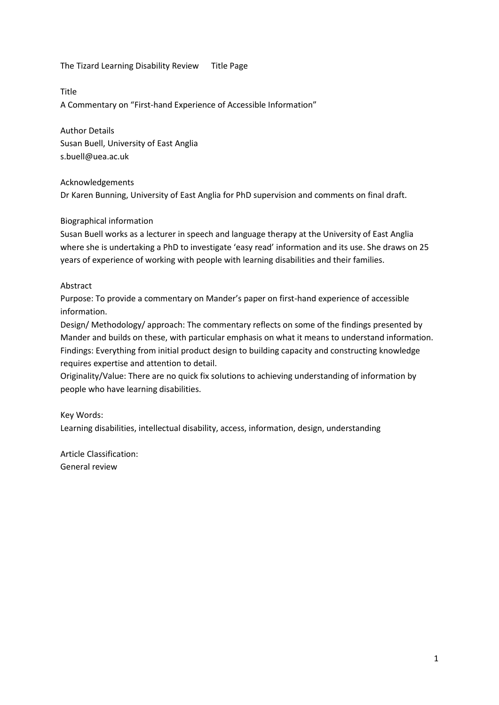The Tizard Learning Disability Review Title Page

**Title** 

A Commentary on "First-hand Experience of Accessible Information"

Author Details Susan Buell, University of East Anglia s.buell@uea.ac.uk

Acknowledgements Dr Karen Bunning, University of East Anglia for PhD supervision and comments on final draft.

# Biographical information

Susan Buell works as a lecturer in speech and language therapy at the University of East Anglia where she is undertaking a PhD to investigate 'easy read' information and its use. She draws on 25 years of experience of working with people with learning disabilities and their families.

## Abstract

Purpose: To provide a commentary on Mander's paper on first-hand experience of accessible information.

Design/ Methodology/ approach: The commentary reflects on some of the findings presented by Mander and builds on these, with particular emphasis on what it means to understand information. Findings: Everything from initial product design to building capacity and constructing knowledge requires expertise and attention to detail.

Originality/Value: There are no quick fix solutions to achieving understanding of information by people who have learning disabilities.

Key Words:

Learning disabilities, intellectual disability, access, information, design, understanding

Article Classification: General review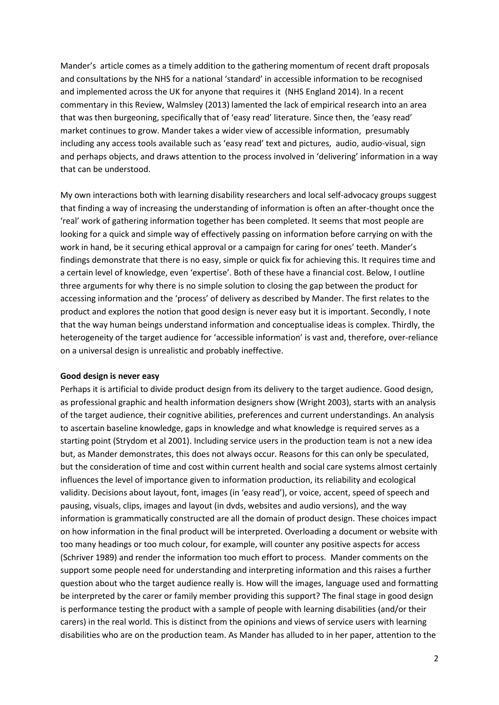Mander's article comes as a timely addition to the gathering momentum of recent draft proposals and consultations by the NHS for a national 'standard' in accessible information to be recognised and implemented across the UK for anyone that requires it (NHS England 2014). In a recent commentary in this Review, Walmsley (2013) lamented the lack of empirical research into an area that was then burgeoning, specifically that of 'easy read' literature. Since then, the 'easy read' market continues to grow. Mander takes a wider view of accessible information, presumably including any access tools available such as 'easy read' text and pictures, audio, audio-visual, sign and perhaps objects, and draws attention to the process involved in 'delivering' information in a way that can be understood.

My own interactions both with learning disability researchers and local self-advocacy groups suggest that finding a way of increasing the understanding of information is often an after-thought once the 'real' work of gathering information together has been completed. It seems that most people are looking for a quick and simple way of effectively passing on information before carrying on with the work in hand, be it securing ethical approval or a campaign for caring for ones' teeth. Mander's findings demonstrate that there is no easy, simple or quick fix for achieving this. It requires time and a certain level of knowledge, even 'expertise'. Both of these have a financial cost. Below, I outline three arguments for why there is no simple solution to closing the gap between the product for accessing information and the 'process' of delivery as described by Mander. The first relates to the product and explores the notion that good design is never easy but it is important. Secondly, I note that the way human beings understand information and conceptualise ideas is complex. Thirdly, the heterogeneity of the target audience for 'accessible information' is vast and, therefore, over-reliance on a universal design is unrealistic and probably ineffective.

#### **Good design is never easy**

Perhaps it is artificial to divide product design from its delivery to the target audience. Good design, as professional graphic and health information designers show (Wright 2003), starts with an analysis of the target audience, their cognitive abilities, preferences and current understandings. An analysis to ascertain baseline knowledge, gaps in knowledge and what knowledge is required serves as a starting point (Strydom et al 2001). Including service users in the production team is not a new idea but, as Mander demonstrates, this does not always occur. Reasons for this can only be speculated, but the consideration of time and cost within current health and social care systems almost certainly influences the level of importance given to information production, its reliability and ecological validity. Decisions about layout, font, images (in 'easy read'), or voice, accent, speed of speech and pausing, visuals, clips, images and layout (in dvds, websites and audio versions), and the way information is grammatically constructed are all the domain of product design. These choices impact on how information in the final product will be interpreted. Overloading a document or website with too many headings or too much colour, for example, will counter any positive aspects for access (Schriver 1989) and render the information too much effort to process. Mander comments on the support some people need for understanding and interpreting information and this raises a further question about who the target audience really is. How will the images, language used and formatting be interpreted by the carer or family member providing this support? The final stage in good design is performance testing the product with a sample of people with learning disabilities (and/or their carers) in the real world. This is distinct from the opinions and views of service users with learning disabilities who are on the production team. As Mander has alluded to in her paper, attention to the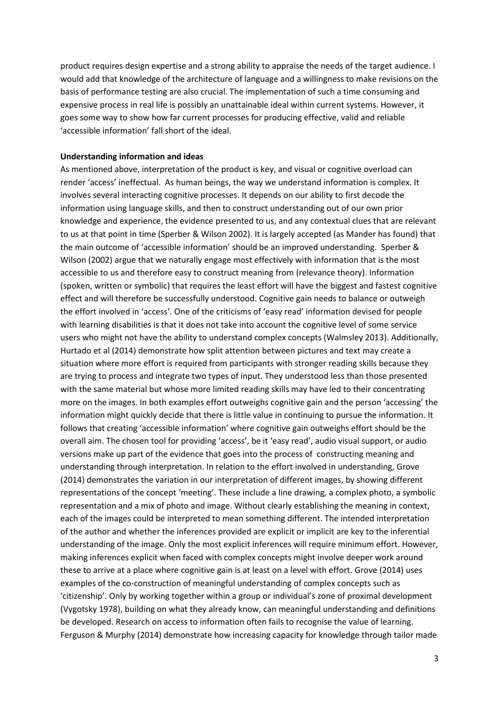product requires design expertise and a strong ability to appraise the needs of the target audience. I would add that knowledge of the architecture of language and a willingness to make revisions on the basis of performance testing are also crucial. The implementation of such a time consuming and expensive process in real life is possibly an unattainable ideal within current systems. However, it goes some way to show how far current processes for producing effective, valid and reliable 'accessible information' fall short of the ideal.

#### **Understanding information and ideas**

As mentioned above, interpretation of the product is key, and visual or cognitive overload can render 'access' ineffectual. As human beings, the way we understand information is complex. It involves several interacting cognitive processes. It depends on our ability to first decode the information using language skills, and then to construct understanding out of our own prior knowledge and experience, the evidence presented to us, and any contextual clues that are relevant to us at that point in time (Sperber & Wilson 2002). It is largely accepted (as Mander has found) that the main outcome of 'accessible information' should be an improved understanding. Sperber & Wilson (2002) argue that we naturally engage most effectively with information that is the most accessible to us and therefore easy to construct meaning from (relevance theory). Information (spoken, written or symbolic) that requires the least effort will have the biggest and fastest cognitive effect and will therefore be successfully understood. Cognitive gain needs to balance or outweigh the effort involved in 'access'. One of the criticisms of 'easy read' information devised for people with learning disabilities is that it does not take into account the cognitive level of some service users who might not have the ability to understand complex concepts (Walmsley 2013). Additionally, Hurtado et al (2014) demonstrate how split attention between pictures and text may create a situation where more effort is required from participants with stronger reading skills because they are trying to process and integrate two types of input. They understood less than those presented with the same material but whose more limited reading skills may have led to their concentrating more on the images. In both examples effort outweighs cognitive gain and the person 'accessing' the information might quickly decide that there is little value in continuing to pursue the information. It follows that creating 'accessible information' where cognitive gain outweighs effort should be the overall aim. The chosen tool for providing 'access', be it 'easy read', audio visual support, or audio versions make up part of the evidence that goes into the process of constructing meaning and understanding through interpretation. In relation to the effort involved in understanding, Grove (2014) demonstrates the variation in our interpretation of different images, by showing different representations of the concept 'meeting'. These include a line drawing, a complex photo, a symbolic representation and a mix of photo and image. Without clearly establishing the meaning in context, each of the images could be interpreted to mean something different. The intended interpretation of the author and whether the inferences provided are explicit or implicit are key to the inferential understanding of the image. Only the most explicit inferences will require minimum effort. However, making inferences explicit when faced with complex concepts might involve deeper work around these to arrive at a place where cognitive gain is at least on a level with effort. Grove (2014) uses examples of the co-construction of meaningful understanding of complex concepts such as 'citizenship'. Only by working together within a group or individual's zone of proximal development (Vygotsky 1978), building on what they already know, can meaningful understanding and definitions be developed. Research on access to information often fails to recognise the value of learning. Ferguson & Murphy (2014) demonstrate how increasing capacity for knowledge through tailor made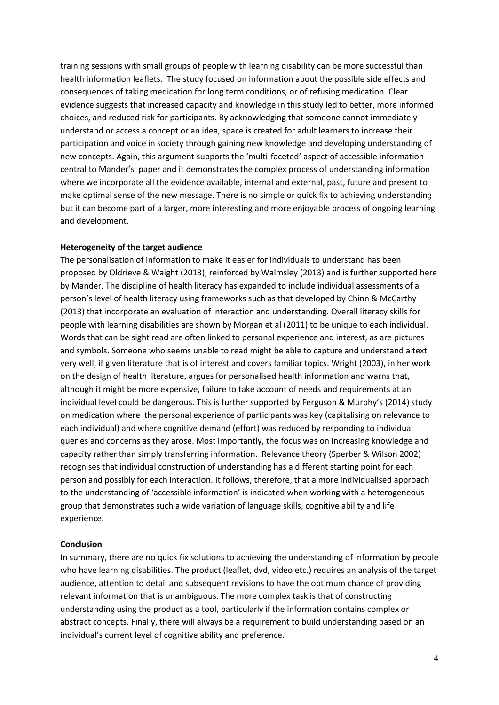training sessions with small groups of people with learning disability can be more successful than health information leaflets. The study focused on information about the possible side effects and consequences of taking medication for long term conditions, or of refusing medication. Clear evidence suggests that increased capacity and knowledge in this study led to better, more informed choices, and reduced risk for participants. By acknowledging that someone cannot immediately understand or access a concept or an idea, space is created for adult learners to increase their participation and voice in society through gaining new knowledge and developing understanding of new concepts. Again, this argument supports the 'multi-faceted' aspect of accessible information central to Mander's paper and it demonstrates the complex process of understanding information where we incorporate all the evidence available, internal and external, past, future and present to make optimal sense of the new message. There is no simple or quick fix to achieving understanding but it can become part of a larger, more interesting and more enjoyable process of ongoing learning and development.

## **Heterogeneity of the target audience**

The personalisation of information to make it easier for individuals to understand has been proposed by Oldrieve & Waight (2013), reinforced by Walmsley (2013) and is further supported here by Mander. The discipline of health literacy has expanded to include individual assessments of a person's level of health literacy using frameworks such as that developed by Chinn & McCarthy (2013) that incorporate an evaluation of interaction and understanding. Overall literacy skills for people with learning disabilities are shown by Morgan et al (2011) to be unique to each individual. Words that can be sight read are often linked to personal experience and interest, as are pictures and symbols. Someone who seems unable to read might be able to capture and understand a text very well, if given literature that is of interest and covers familiar topics. Wright (2003), in her work on the design of health literature, argues for personalised health information and warns that, although it might be more expensive, failure to take account of needs and requirements at an individual level could be dangerous. This is further supported by Ferguson & Murphy's (2014) study on medication where the personal experience of participants was key (capitalising on relevance to each individual) and where cognitive demand (effort) was reduced by responding to individual queries and concerns as they arose. Most importantly, the focus was on increasing knowledge and capacity rather than simply transferring information. Relevance theory (Sperber & Wilson 2002) recognises that individual construction of understanding has a different starting point for each person and possibly for each interaction. It follows, therefore, that a more individualised approach to the understanding of 'accessible information' is indicated when working with a heterogeneous group that demonstrates such a wide variation of language skills, cognitive ability and life experience.

#### **Conclusion**

In summary, there are no quick fix solutions to achieving the understanding of information by people who have learning disabilities. The product (leaflet, dvd, video etc.) requires an analysis of the target audience, attention to detail and subsequent revisions to have the optimum chance of providing relevant information that is unambiguous. The more complex task is that of constructing understanding using the product as a tool, particularly if the information contains complex or abstract concepts. Finally, there will always be a requirement to build understanding based on an individual's current level of cognitive ability and preference.